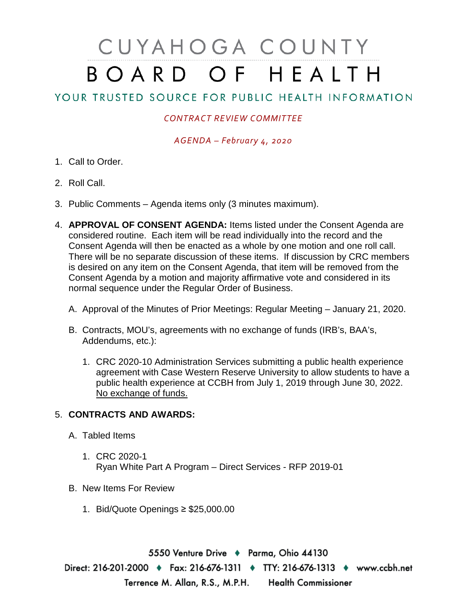## CUYAHOGA COUNTY BOARD OF HEALTH

## YOUR TRUSTED SOURCE FOR PUBLIC HEALTH INFORMATION

## *CONTRACT REVIEW COMMITTEE*

*AGENDA – February 4, 2020*

- 1. Call to Order.
- 2. Roll Call.
- 3. Public Comments Agenda items only (3 minutes maximum).
- 4. **APPROVAL OF CONSENT AGENDA:** Items listed under the Consent Agenda are considered routine. Each item will be read individually into the record and the Consent Agenda will then be enacted as a whole by one motion and one roll call. There will be no separate discussion of these items. If discussion by CRC members is desired on any item on the Consent Agenda, that item will be removed from the Consent Agenda by a motion and majority affirmative vote and considered in its normal sequence under the Regular Order of Business.
	- A. Approval of the Minutes of Prior Meetings: Regular Meeting January 21, 2020.
	- B. Contracts, MOU's, agreements with no exchange of funds (IRB's, BAA's, Addendums, etc.):
		- 1. CRC 2020-10 Administration Services submitting a public health experience agreement with Case Western Reserve University to allow students to have a public health experience at CCBH from July 1, 2019 through June 30, 2022. No exchange of funds.

## 5. **CONTRACTS AND AWARDS:**

- A. Tabled Items
	- 1. CRC 2020-1 Ryan White Part A Program – Direct Services - RFP 2019-01
- B. New Items For Review
	- 1. Bid/Quote Openings ≥ \$25,000.00

5550 Venture Drive + Parma, Ohio 44130 Direct: 216-201-2000 • Fax: 216-676-1311 • TTY: 216-676-1313 • www.ccbh.net Terrence M. Allan, R.S., M.P.H. Health Commissioner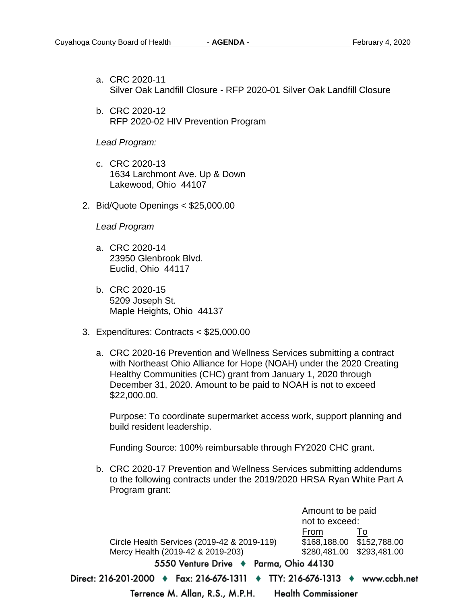- a. CRC 2020-11 Silver Oak Landfill Closure - RFP 2020-01 Silver Oak Landfill Closure
- b. CRC 2020-12 RFP 2020-02 HIV Prevention Program

*Lead Program:*

- c. CRC 2020-13 1634 Larchmont Ave. Up & Down Lakewood, Ohio 44107
- 2. Bid/Quote Openings < \$25,000.00

*Lead Program* 

- a. CRC 2020-14 23950 Glenbrook Blvd. Euclid, Ohio 44117
- b. CRC 2020-15 5209 Joseph St. Maple Heights, Ohio 44137
- 3. Expenditures: Contracts < \$25,000.00
	- a. CRC 2020-16 Prevention and Wellness Services submitting a contract with Northeast Ohio Alliance for Hope (NOAH) under the 2020 Creating Healthy Communities (CHC) grant from January 1, 2020 through December 31, 2020. Amount to be paid to NOAH is not to exceed \$22,000.00.

Purpose: To coordinate supermarket access work, support planning and build resident leadership.

Funding Source: 100% reimbursable through FY2020 CHC grant.

b. CRC 2020-17 Prevention and Wellness Services submitting addendums to the following contracts under the 2019/2020 HRSA Ryan White Part A Program grant:

Amount to be paid not to exceed: From To Circle Health Services (2019-42 & 2019-119) Mercy Health (2019-42 & 2019-203) \$280,481.00 \$293,481.00 5550 Venture Drive + Parma, Ohio 44130 Direct: 216-201-2000 ♦ Fax: 216-676-1311 ♦ TTY: 216-676-1313 ♦ www.ccbh.net Terrence M. Allan, R.S., M.P.H. **Health Commissioner**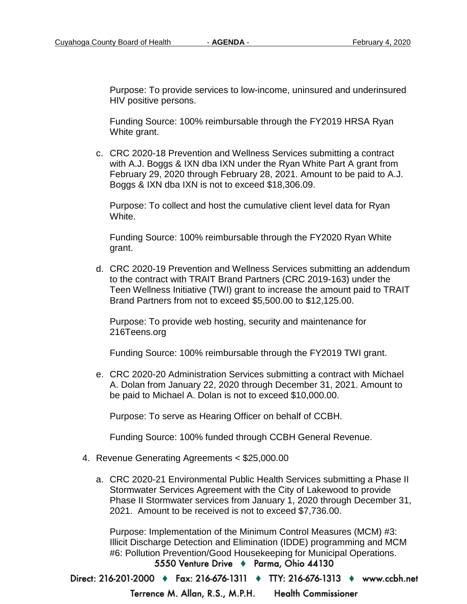Purpose: To provide services to low-income, uninsured and underinsured HIV positive persons.

Funding Source: 100% reimbursable through the FY2019 HRSA Ryan White grant.

c. CRC 2020-18 Prevention and Wellness Services submitting a contract with A.J. Boggs & IXN dba IXN under the Ryan White Part A grant from February 29, 2020 through February 28, 2021. Amount to be paid to A.J. Boggs & IXN dba IXN is not to exceed \$18,306.09.

Purpose: To collect and host the cumulative client level data for Ryan White.

Funding Source: 100% reimbursable through the FY2020 Ryan White grant.

d. CRC 2020-19 Prevention and Wellness Services submitting an addendum to the contract with TRAIT Brand Partners (CRC 2019-163) under the Teen Wellness Initiative (TWI) grant to increase the amount paid to TRAIT Brand Partners from not to exceed \$5,500.00 to \$12,125.00.

Purpose: To provide web hosting, security and maintenance for 216Teens.org

Funding Source: 100% reimbursable through the FY2019 TWI grant.

e. CRC 2020-20 Administration Services submitting a contract with Michael A. Dolan from January 22, 2020 through December 31, 2021. Amount to be paid to Michael A. Dolan is not to exceed \$10,000.00.

Purpose: To serve as Hearing Officer on behalf of CCBH.

Funding Source: 100% funded through CCBH General Revenue.

- 4. Revenue Generating Agreements < \$25,000.00
	- a. CRC 2020-21 Environmental Public Health Services submitting a Phase II Stormwater Services Agreement with the City of Lakewood to provide Phase II Stormwater services from January 1, 2020 through December 31, 2021. Amount to be received is not to exceed \$7,736.00.

Purpose: Implementation of the Minimum Control Measures (MCM) #3: Illicit Discharge Detection and Elimination (IDDE) programming and MCM #6: Pollution Prevention/Good Housekeeping for Municipal Operations.5550 Venture Drive + Parma, Ohio 44130

Direct: 216-201-2000 • Fax: 216-676-1311 • TTY: 216-676-1313 • www.ccbh.net

Terrence M. Allan, R.S., M.P.H. **Health Commissioner**